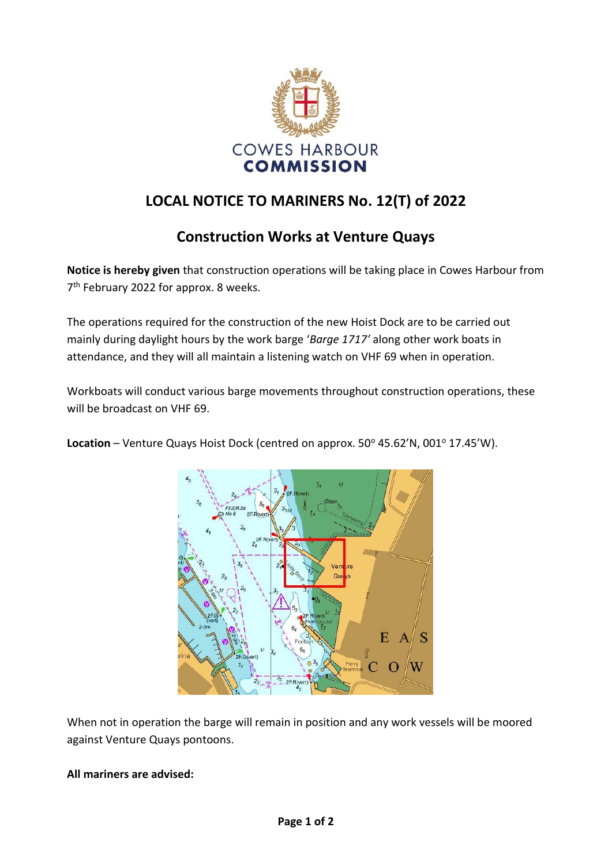

## **LOCAL NOTICE TO MARINERS No. 12(T) of 2022**

## **Construction Works at Venture Quays**

**Notice is hereby given** that construction operations will be taking place in Cowes Harbour from 7<sup>th</sup> February 2022 for approx. 8 weeks.

The operations required for the construction of the new Hoist Dock are to be carried out mainly during daylight hours by the work barge '*Barge 1717'* along other work boats in attendance, and they will all maintain a listening watch on VHF 69 when in operation.

Workboats will conduct various barge movements throughout construction operations, these will be broadcast on VHF 69.



Location – Venture Quays Hoist Dock (centred on approx. 50° 45.62'N, 001° 17.45'W).

When not in operation the barge will remain in position and any work vessels will be moored against Venture Quays pontoons.

**All mariners are advised:**